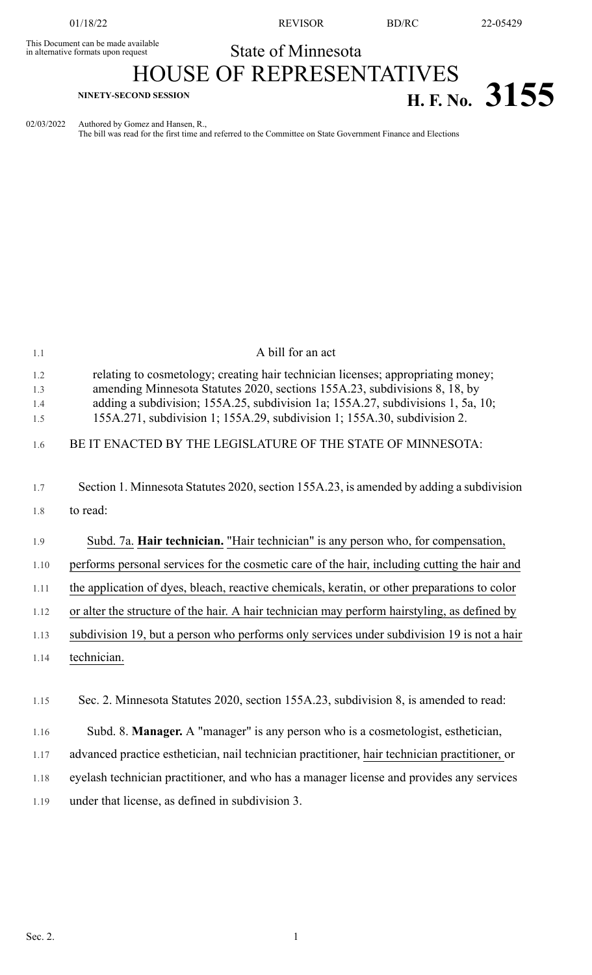This Document can be made available<br>in alternative formats upon request

01/18/22 REVISOR BD/RC 22-05429

## State of Minnesota HOUSE OF REPRESENTATIVES **H. F. No.** 3155

02/03/2022 Authored by Gomez and Hansen, R.,

The bill was read for the first time and referred to the Committee on State Government Finance and Elections

| 1.1                      | A bill for an act                                                                                                                                                                                                                                                                                                             |
|--------------------------|-------------------------------------------------------------------------------------------------------------------------------------------------------------------------------------------------------------------------------------------------------------------------------------------------------------------------------|
| 1.2<br>1.3<br>1.4<br>1.5 | relating to cosmetology; creating hair technician licenses; appropriating money;<br>amending Minnesota Statutes 2020, sections 155A.23, subdivisions 8, 18, by<br>adding a subdivision; 155A.25, subdivision 1a; 155A.27, subdivisions 1, 5a, 10;<br>155A.271, subdivision 1; 155A.29, subdivision 1; 155A.30, subdivision 2. |
| 1.6                      | BE IT ENACTED BY THE LEGISLATURE OF THE STATE OF MINNESOTA:                                                                                                                                                                                                                                                                   |
| 1.7<br>1.8               | Section 1. Minnesota Statutes 2020, section 155A.23, is amended by adding a subdivision<br>to read:                                                                                                                                                                                                                           |
| 1.9                      | Subd. 7a. Hair technician. "Hair technician" is any person who, for compensation,                                                                                                                                                                                                                                             |
| 1.10                     | performs personal services for the cosmetic care of the hair, including cutting the hair and                                                                                                                                                                                                                                  |
| 1.11                     | the application of dyes, bleach, reactive chemicals, keratin, or other preparations to color                                                                                                                                                                                                                                  |
| 1.12                     | or alter the structure of the hair. A hair technician may perform hairstyling, as defined by                                                                                                                                                                                                                                  |
| 1.13                     | subdivision 19, but a person who performs only services under subdivision 19 is not a hair                                                                                                                                                                                                                                    |
| 1.14                     | technician.                                                                                                                                                                                                                                                                                                                   |
|                          |                                                                                                                                                                                                                                                                                                                               |
| 1.15                     | Sec. 2. Minnesota Statutes 2020, section 155A.23, subdivision 8, is amended to read:                                                                                                                                                                                                                                          |
| 1.16                     | Subd. 8. Manager. A "manager" is any person who is a cosmetologist, esthetician,                                                                                                                                                                                                                                              |
| 1.17                     | advanced practice esthetician, nail technician practitioner, hair technician practitioner, or                                                                                                                                                                                                                                 |
| 1.18                     | eyelash technician practitioner, and who has a manager license and provides any services                                                                                                                                                                                                                                      |
| 1.19                     | under that license, as defined in subdivision 3.                                                                                                                                                                                                                                                                              |
|                          |                                                                                                                                                                                                                                                                                                                               |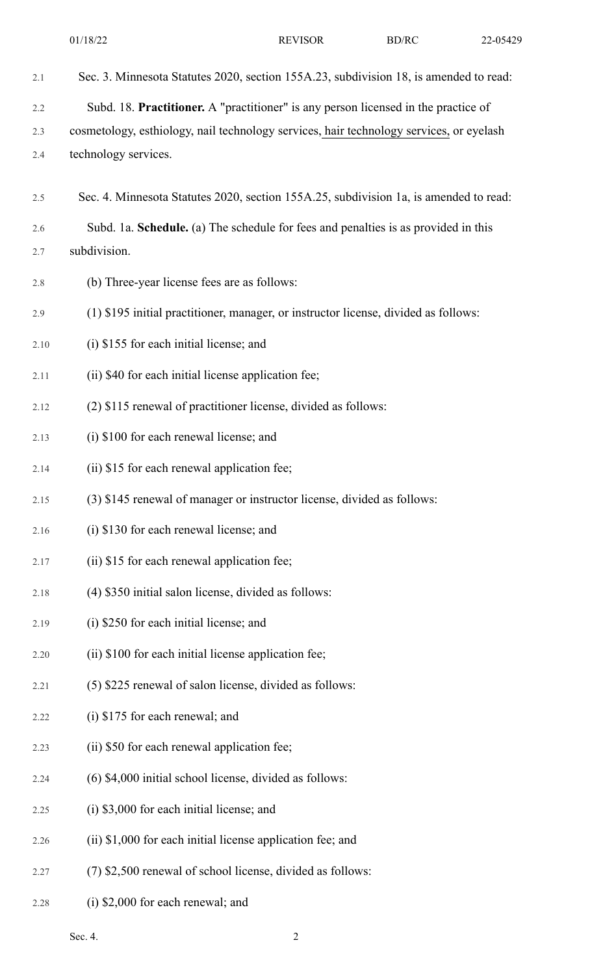| 2.1  | Sec. 3. Minnesota Statutes 2020, section 155A.23, subdivision 18, is amended to read:   |
|------|-----------------------------------------------------------------------------------------|
| 2.2  | Subd. 18. Practitioner. A "practitioner" is any person licensed in the practice of      |
| 2.3  | cosmetology, esthiology, nail technology services, hair technology services, or eyelash |
| 2.4  | technology services.                                                                    |
| 2.5  | Sec. 4. Minnesota Statutes 2020, section 155A.25, subdivision 1a, is amended to read:   |
| 2.6  | Subd. 1a. Schedule. (a) The schedule for fees and penalties is as provided in this      |
| 2.7  | subdivision.                                                                            |
| 2.8  | (b) Three-year license fees are as follows:                                             |
| 2.9  | (1) \$195 initial practitioner, manager, or instructor license, divided as follows:     |
| 2.10 | (i) \$155 for each initial license; and                                                 |
| 2.11 | (ii) \$40 for each initial license application fee;                                     |
| 2.12 | (2) \$115 renewal of practitioner license, divided as follows:                          |
| 2.13 | (i) \$100 for each renewal license; and                                                 |
| 2.14 | (ii) \$15 for each renewal application fee;                                             |
| 2.15 | (3) \$145 renewal of manager or instructor license, divided as follows:                 |
| 2.16 | (i) \$130 for each renewal license; and                                                 |
| 2.17 | (ii) \$15 for each renewal application fee;                                             |
| 2.18 | (4) \$350 initial salon license, divided as follows:                                    |
| 2.19 | (i) \$250 for each initial license; and                                                 |
| 2.20 | (ii) \$100 for each initial license application fee;                                    |
| 2.21 | (5) \$225 renewal of salon license, divided as follows:                                 |
| 2.22 | (i) \$175 for each renewal; and                                                         |
| 2.23 | (ii) \$50 for each renewal application fee;                                             |
| 2.24 | (6) \$4,000 initial school license, divided as follows:                                 |
| 2.25 | (i) \$3,000 for each initial license; and                                               |
| 2.26 | (ii) \$1,000 for each initial license application fee; and                              |
| 2.27 | (7) \$2,500 renewal of school license, divided as follows:                              |

2.28 (i) \$2,000 for each renewal; and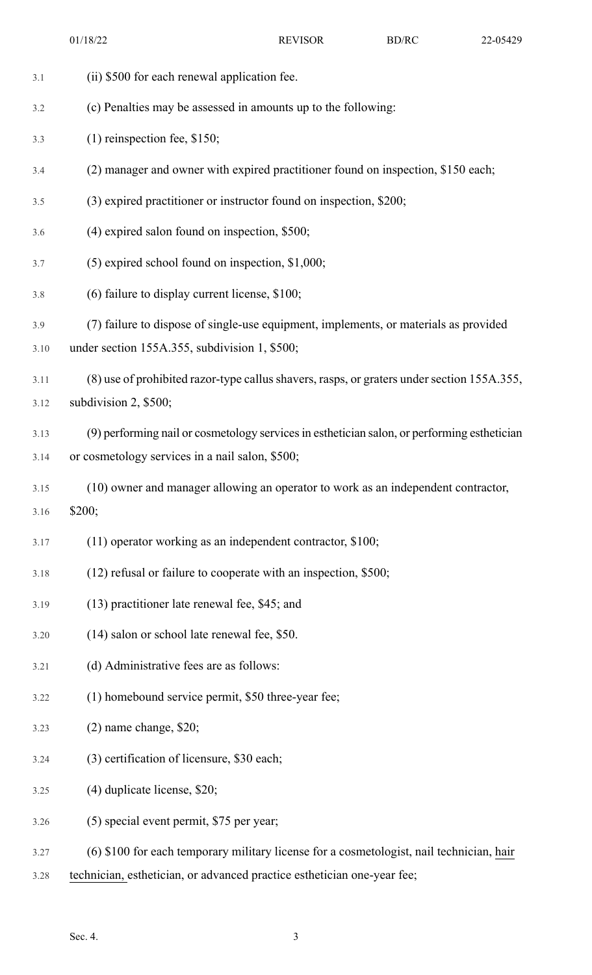| 3.1  | (ii) \$500 for each renewal application fee.                                                |
|------|---------------------------------------------------------------------------------------------|
| 3.2  | (c) Penalties may be assessed in amounts up to the following:                               |
| 3.3  | $(1)$ reinspection fee, \$150;                                                              |
| 3.4  | (2) manager and owner with expired practitioner found on inspection, \$150 each;            |
| 3.5  | (3) expired practitioner or instructor found on inspection, \$200;                          |
| 3.6  | $(4)$ expired salon found on inspection, \$500;                                             |
| 3.7  | $(5)$ expired school found on inspection, \$1,000;                                          |
| 3.8  | (6) failure to display current license, \$100;                                              |
| 3.9  | (7) failure to dispose of single-use equipment, implements, or materials as provided        |
| 3.10 | under section 155A.355, subdivision 1, \$500;                                               |
| 3.11 | (8) use of prohibited razor-type callus shavers, rasps, or graters under section 155A.355,  |
| 3.12 | subdivision 2, \$500;                                                                       |
| 3.13 | (9) performing nail or cosmetology services in esthetician salon, or performing esthetician |
| 3.14 | or cosmetology services in a nail salon, \$500;                                             |
| 3.15 | (10) owner and manager allowing an operator to work as an independent contractor,           |
| 3.16 | \$200;                                                                                      |
| 3.17 | (11) operator working as an independent contractor, \$100;                                  |
| 3.18 | $(12)$ refusal or failure to cooperate with an inspection, \$500;                           |
| 3.19 | (13) practitioner late renewal fee, \$45; and                                               |
| 3.20 | (14) salon or school late renewal fee, \$50.                                                |
| 3.21 | (d) Administrative fees are as follows:                                                     |
| 3.22 | (1) homebound service permit, \$50 three-year fee;                                          |
| 3.23 | $(2)$ name change, \$20;                                                                    |
| 3.24 | (3) certification of licensure, \$30 each;                                                  |
| 3.25 | $(4)$ duplicate license, \$20;                                                              |
| 3.26 | (5) special event permit, \$75 per year;                                                    |
| 3.27 | (6) \$100 for each temporary military license for a cosmetologist, nail technician, hair    |
|      |                                                                                             |

3.28 technician, esthetician, or advanced practice esthetician one-year fee;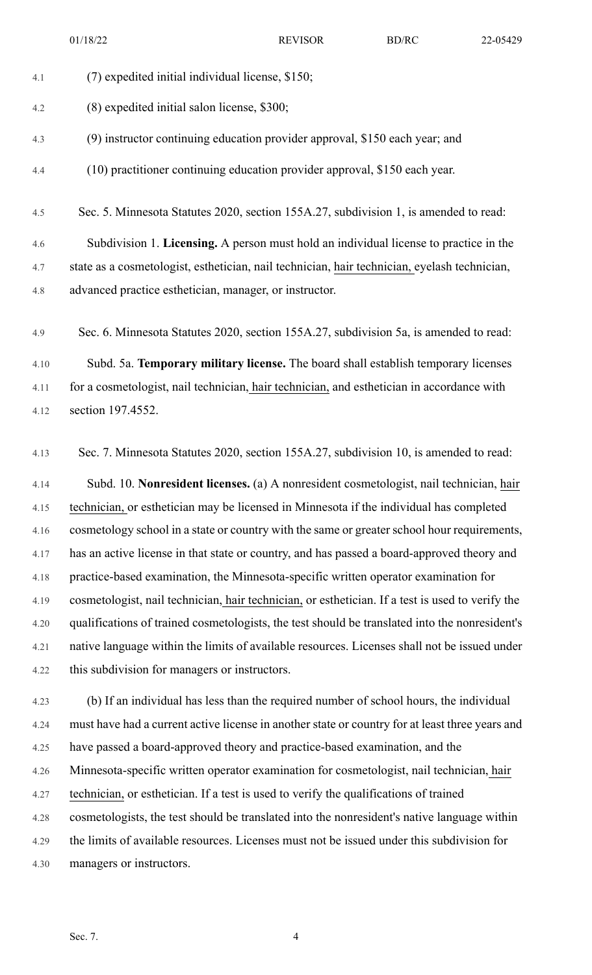01/18/22 REVISOR BD/RC 22-05429

4.1 (7) expedited initial individual license, \$150; 4.2 (8) expedited initial salon license, \$300; 4.3 (9) instructor continuing education provider approval, \$150 each year; and 4.4 (10) practitioner continuing education provider approval, \$150 each year. 4.5 Sec. 5. Minnesota Statutes 2020, section 155A.27, subdivision 1, is amended to read: 4.6 Subdivision 1. **Licensing.** A person must hold an individual license to practice in the 4.7 state as a cosmetologist, esthetician, nail technician, hair technician, eyelash technician, 4.8 advanced practice esthetician, manager, or instructor. 4.9 Sec. 6. Minnesota Statutes 2020, section 155A.27, subdivision 5a, is amended to read: 4.10 Subd. 5a. **Temporary military license.** The board shall establish temporary licenses 4.11 for a cosmetologist, nail technician, hair technician, and esthetician in accordance with 4.12 section 197.4552. 4.13 Sec. 7. Minnesota Statutes 2020, section 155A.27, subdivision 10, is amended to read:

4.14 Subd. 10. **Nonresident licenses.** (a) A nonresident cosmetologist, nail technician, hair 4.15 technician, or esthetician may be licensed in Minnesota if the individual has completed 4.16 cosmetology school in a state or country with the same or greater school hour requirements, 4.17 has an active license in that state or country, and has passed a board-approved theory and 4.18 practice-based examination, the Minnesota-specific written operator examination for 4.19 cosmetologist, nail technician, hair technician, or esthetician. If a test is used to verify the 4.20 qualifications of trained cosmetologists, the test should be translated into the nonresident's 4.21 native language within the limits of available resources. Licenses shall not be issued under 4.22 this subdivision for managers or instructors.

4.23 (b) If an individual has less than the required number of school hours, the individual 4.24 must have had a current active license in another state or country for at least three years and 4.25 have passed a board-approved theory and practice-based examination, and the 4.26 Minnesota-specific written operator examination for cosmetologist, nail technician, hair 4.27 technician, or esthetician. If a test is used to verify the qualifications of trained 4.28 cosmetologists, the test should be translated into the nonresident's native language within 4.29 the limits of available resources. Licenses must not be issued under this subdivision for 4.30 managers or instructors.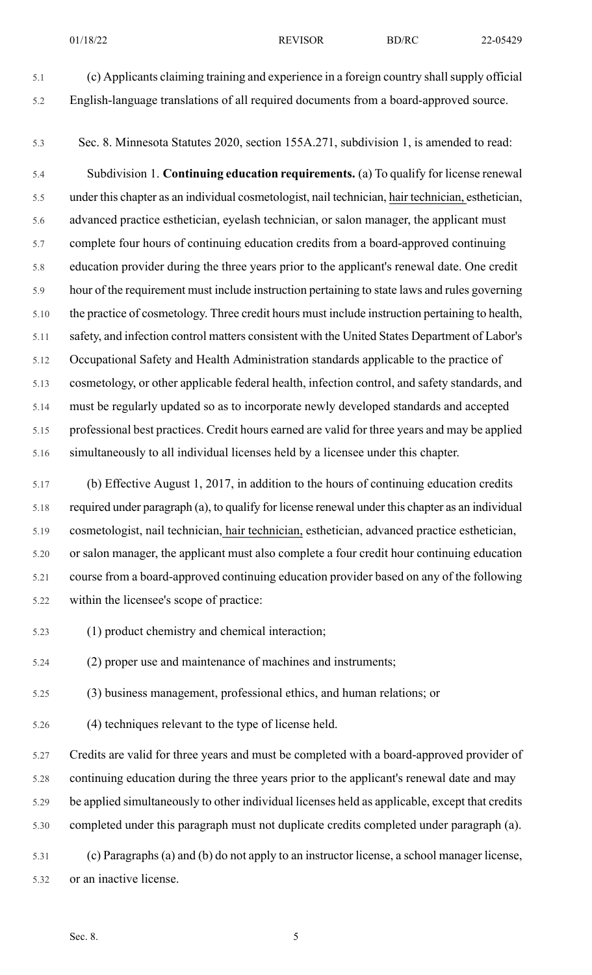5.1 (c) Applicants claiming training and experience in a foreign country shallsupply official 5.2 English-language translations of all required documents from a board-approved source.

5.3 Sec. 8. Minnesota Statutes 2020, section 155A.271, subdivision 1, is amended to read:

5.4 Subdivision 1. **Continuing education requirements.** (a) To qualify for license renewal 5.5 under this chapter as an individual cosmetologist, nail technician, hair technician, esthetician, 5.6 advanced practice esthetician, eyelash technician, or salon manager, the applicant must 5.7 complete four hours of continuing education credits from a board-approved continuing 5.8 education provider during the three years prior to the applicant's renewal date. One credit 5.9 hour of the requirement must include instruction pertaining to state laws and rules governing 5.10 the practice of cosmetology. Three credit hours must include instruction pertaining to health, 5.11 safety, and infection control matters consistent with the United States Department of Labor's 5.12 Occupational Safety and Health Administration standards applicable to the practice of 5.13 cosmetology, or other applicable federal health, infection control, and safety standards, and 5.14 must be regularly updated so as to incorporate newly developed standards and accepted 5.15 professional best practices. Credit hours earned are valid for three years and may be applied 5.16 simultaneously to all individual licenses held by a licensee under this chapter.

5.17 (b) Effective August 1, 2017, in addition to the hours of continuing education credits 5.18 required under paragraph (a), to qualify for license renewal under this chapter as an individual 5.19 cosmetologist, nail technician, hair technician, esthetician, advanced practice esthetician, 5.20 or salon manager, the applicant must also complete a four credit hour continuing education 5.21 course from a board-approved continuing education provider based on any of the following 5.22 within the licensee's scope of practice:

5.23 (1) product chemistry and chemical interaction;

5.24 (2) proper use and maintenance of machines and instruments;

5.25 (3) business management, professional ethics, and human relations; or

5.26 (4) techniques relevant to the type of license held.

5.27 Credits are valid for three years and must be completed with a board-approved provider of 5.28 continuing education during the three years prior to the applicant's renewal date and may 5.29 be applied simultaneously to other individual licenses held as applicable, except that credits 5.30 completed under this paragraph must not duplicate credits completed under paragraph (a).

5.31 (c) Paragraphs (a) and (b) do not apply to an instructor license, a school manager license, 5.32 or an inactive license.